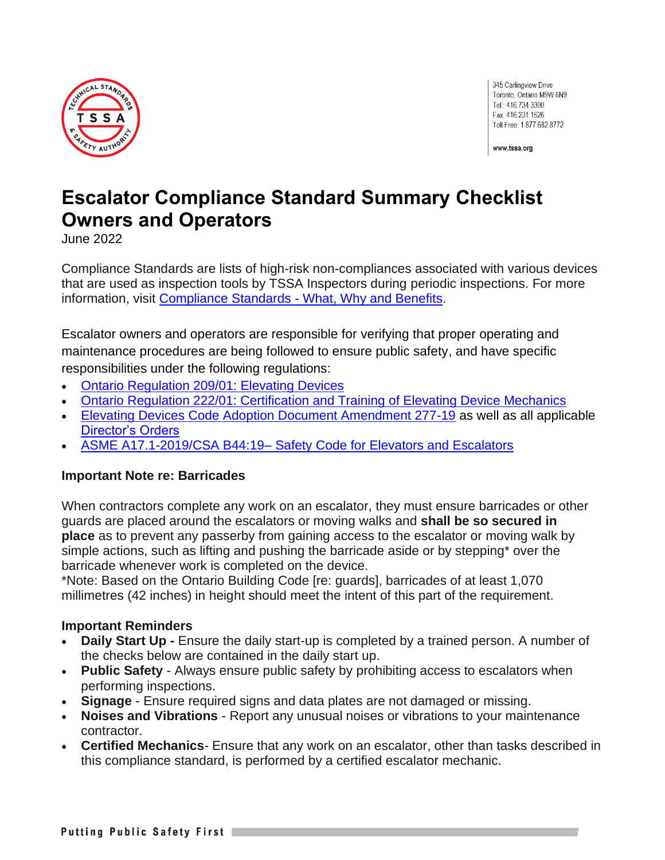

345 Carlingview Drive Toronto, Ontario M9W 6N9 Tel.: 416.734.3300 Fax: 416.231.1626 Toll Free: 1.877.682.8772

www.tssa.org

# **Escalator Compliance Standard Summary Checklist Owners and Operators**

June 2022

Compliance Standards are lists of high-risk non-compliances associated with various devices that are used as inspection tools by TSSA Inspectors during periodic inspections. For more information, visit Compliance Standards - [What, Why and Benefits.](https://www.tssa.org/en/about-tssa/compliance-standards---what--why--benefits.aspx)

Escalator owners and operators are responsible for verifying that proper operating and maintenance procedures are being followed to ensure public safety, and have specific responsibilities under the following regulations:

- [Ontario Regulation 209/01: Elevating Devices](https://www.ontario.ca/laws/regulation/010209)
- [Ontario Regulation 222/01: Certification and Training of Elevating Device Mechanics](https://www.ontario.ca/laws/regulation/r01222)
- [Elevating Devices Code Adoption Document Amendment 277-19](https://www.tssa.org/en/elevating-devices/resources/Documents/ED-277-19-CAD.pdf) as well as all applicable [Director's Orders](https://www.tssa.org/en/elevating-devices/legislation-and-regulatory-information.aspx)
- ASME A17.1-2019/CSA B44:19– [Safety Code for Elevators and Escalators](https://www.csagroup.org/store/search-results/?search=all~~ASME%20A17.1-2019/CSA%20B44:19)

#### **Important Note re: Barricades**

When contractors complete any work on an escalator, they must ensure barricades or other guards are placed around the escalators or moving walks and **shall be so secured in place** as to prevent any passerby from gaining access to the escalator or moving walk by simple actions, such as lifting and pushing the barricade aside or by stepping\* over the barricade whenever work is completed on the device.

\*Note: Based on the Ontario Building Code [re: guards], barricades of at least 1,070 millimetres (42 inches) in height should meet the intent of this part of the requirement.

#### **Important Reminders**

- **Daily Start Up -** Ensure the daily start-up is completed by a trained person. A number of the checks below are contained in the daily start up.
- **Public Safety** Always ensure public safety by prohibiting access to escalators when performing inspections.
- **Signage** Ensure required signs and data plates are not damaged or missing.
- **Noises and Vibrations** Report any unusual noises or vibrations to your maintenance contractor.
- **Certified Mechanics***-* Ensure that any work on an escalator, other than tasks described in this compliance standard, is performed by a certified escalator mechanic.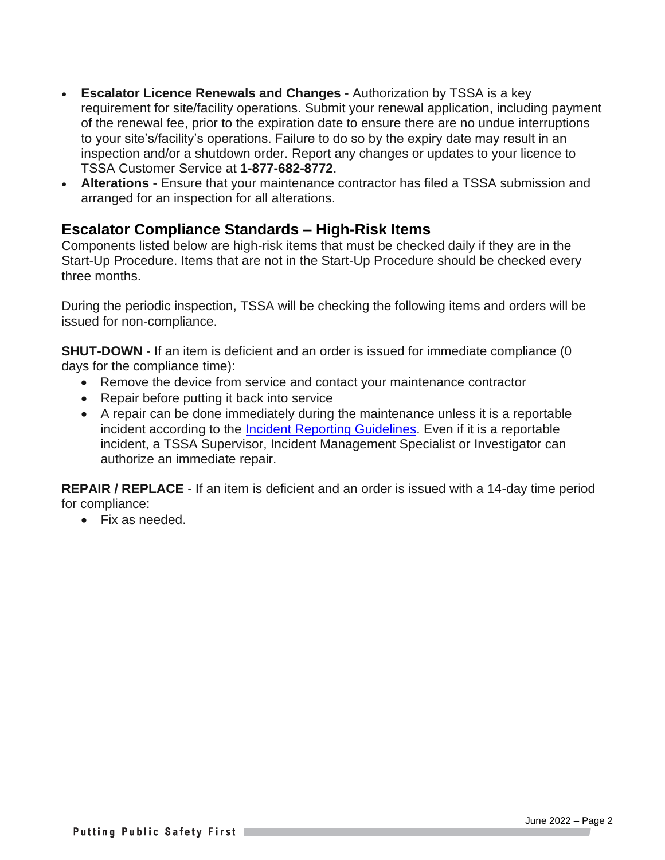- **Escalator Licence Renewals and Changes** Authorization by TSSA is a key requirement for site/facility operations. Submit your renewal application, including payment of the renewal fee, prior to the expiration date to ensure there are no undue interruptions to your site's/facility's operations. Failure to do so by the expiry date may result in an inspection and/or a shutdown order. Report any changes or updates to your licence to TSSA Customer Service at **1-877-682-8772**.
- **Alterations** Ensure that your maintenance contractor has filed a TSSA submission and arranged for an inspection for all alterations.

### **Escalator Compliance Standards – High-Risk Items**

Components listed below are high-risk items that must be checked daily if they are in the Start-Up Procedure. Items that are not in the Start-Up Procedure should be checked every three months.

During the periodic inspection, TSSA will be checking the following items and orders will be issued for non-compliance.

**SHUT-DOWN** - If an item is deficient and an order is issued for immediate compliance (0) days for the compliance time):

- Remove the device from service and contact your maintenance contractor
- Repair before putting it back into service
- A repair can be done immediately during the maintenance unless it is a reportable incident according to the [Incident Reporting Guidelines.](https://www.tssa.org/en/elevating-devices/resources/Documents/ED-Guideline-for-Incident-Reporting.pdf) Even if it is a reportable incident, a TSSA Supervisor, Incident Management Specialist or Investigator can authorize an immediate repair.

**REPAIR / REPLACE** - If an item is deficient and an order is issued with a 14-day time period for compliance:

• Fix as needed.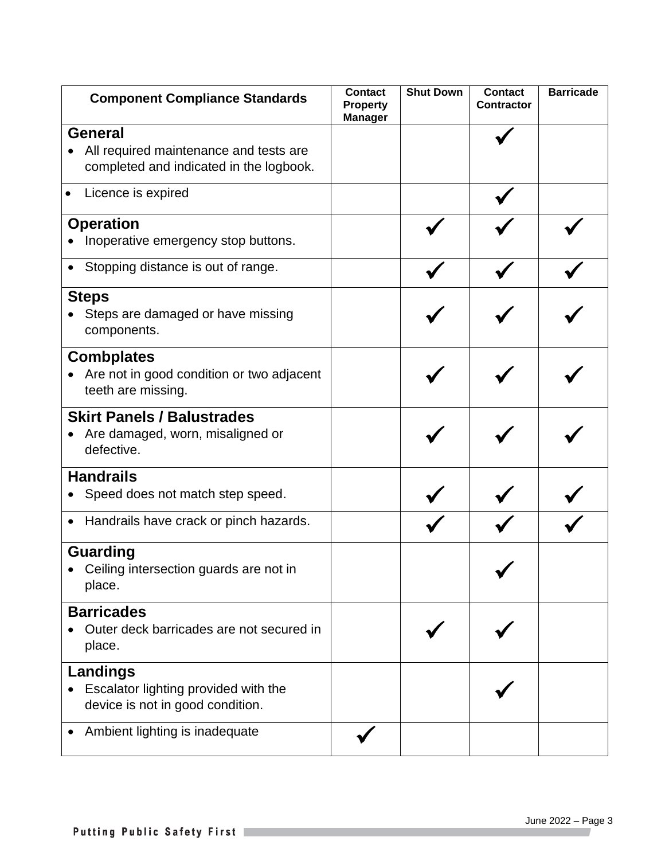| <b>Component Compliance Standards</b>                                                               | <b>Contact</b><br><b>Property</b><br><b>Manager</b> | <b>Shut Down</b> | <b>Contact</b><br><b>Contractor</b> | <b>Barricade</b> |
|-----------------------------------------------------------------------------------------------------|-----------------------------------------------------|------------------|-------------------------------------|------------------|
| <b>General</b><br>All required maintenance and tests are<br>completed and indicated in the logbook. |                                                     |                  |                                     |                  |
| Licence is expired                                                                                  |                                                     |                  |                                     |                  |
| <b>Operation</b><br>Inoperative emergency stop buttons.                                             |                                                     |                  |                                     |                  |
| Stopping distance is out of range.                                                                  |                                                     |                  |                                     |                  |
| <b>Steps</b><br>Steps are damaged or have missing<br>components.                                    |                                                     |                  |                                     |                  |
| <b>Combplates</b><br>Are not in good condition or two adjacent<br>teeth are missing.                |                                                     |                  |                                     |                  |
| <b>Skirt Panels / Balustrades</b><br>Are damaged, worn, misaligned or<br>defective.                 |                                                     |                  |                                     |                  |
| <b>Handrails</b><br>Speed does not match step speed.                                                |                                                     |                  |                                     |                  |
| Handrails have crack or pinch hazards.<br>$\bullet$                                                 |                                                     |                  |                                     |                  |
| <b>Guarding</b><br>Ceiling intersection guards are not in<br>place.                                 |                                                     |                  |                                     |                  |
| <b>Barricades</b><br>Outer deck barricades are not secured in<br>place.                             |                                                     |                  |                                     |                  |
| <b>Landings</b><br>Escalator lighting provided with the<br>device is not in good condition.         |                                                     |                  |                                     |                  |
| Ambient lighting is inadequate                                                                      |                                                     |                  |                                     |                  |